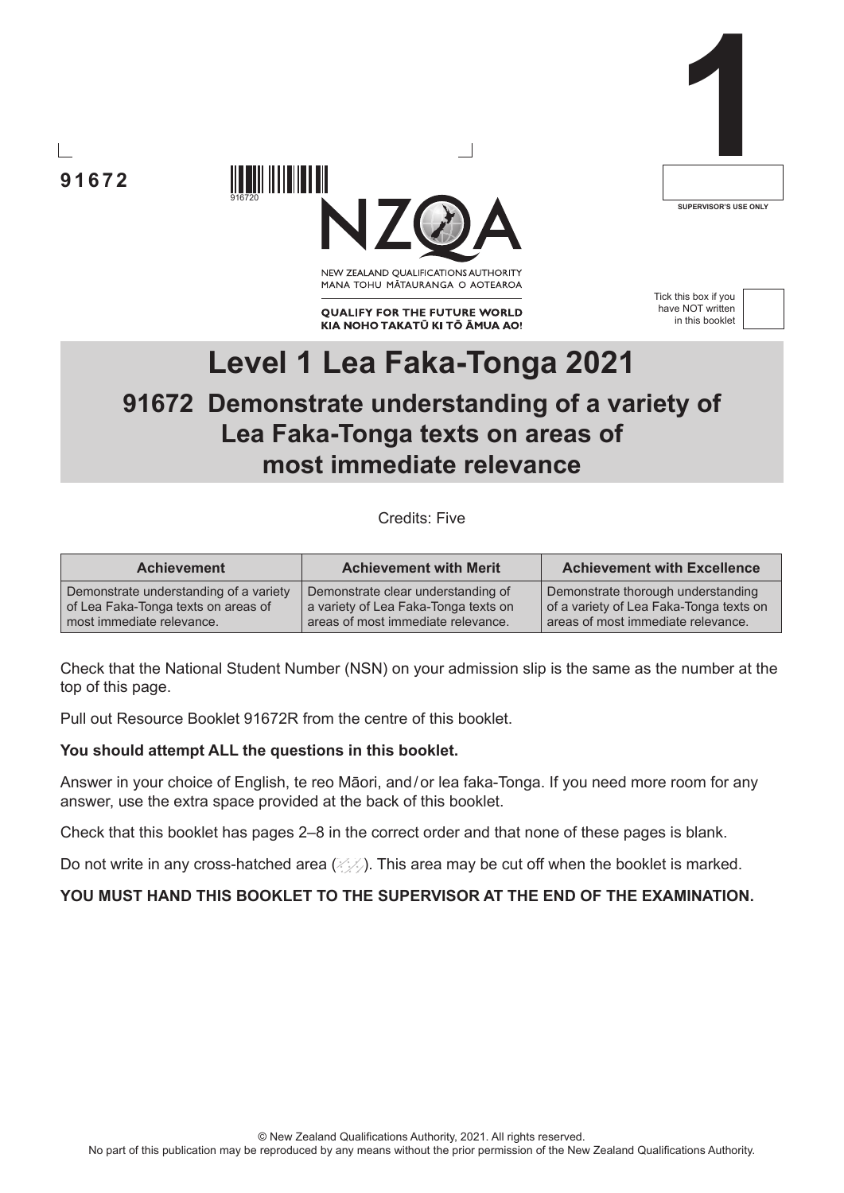**91672**



NEW ZEALAND OUALIFICATIONS AUTHORITY MANA TOHU MATAURANGA O AOTEAROA

**QUALIFY FOR THE FUTURE WORLD** KIA NOHO TAKATŪ KI TŌ ĀMUA AO! Tick this box if you have NOT written in this booklet

**1**

**SUPERVISOR'S USE ONLY**



# **Level 1 Lea Faka-Tonga 2021 91672 Demonstrate understanding of a variety of Lea Faka-Tonga texts on areas of most immediate relevance**

Credits: Five

| <b>Achievement</b>                     | <b>Achievement with Merit</b>        | <b>Achievement with Excellence</b>      |
|----------------------------------------|--------------------------------------|-----------------------------------------|
| Demonstrate understanding of a variety | Demonstrate clear understanding of   | Demonstrate thorough understanding      |
| of Lea Faka-Tonga texts on areas of    | a variety of Lea Faka-Tonga texts on | of a variety of Lea Faka-Tonga texts on |
| most immediate relevance.              | areas of most immediate relevance.   | areas of most immediate relevance.      |

Check that the National Student Number (NSN) on your admission slip is the same as the number at the top of this page.

Pull out Resource Booklet 91672R from the centre of this booklet.

916 | 1107 | 1108 | 110

#### **You should attempt ALL the questions in this booklet.**

Answer in your choice of English, te reo Māori, and/or lea faka-Tonga. If you need more room for any answer, use the extra space provided at the back of this booklet.

Check that this booklet has pages 2–8 in the correct order and that none of these pages is blank.

Do not write in any cross-hatched area  $(\angle\Diamond)$ . This area may be cut off when the booklet is marked.

**YOU MUST HAND THIS BOOKLET TO THE SUPERVISOR AT THE END OF THE EXAMINATION.**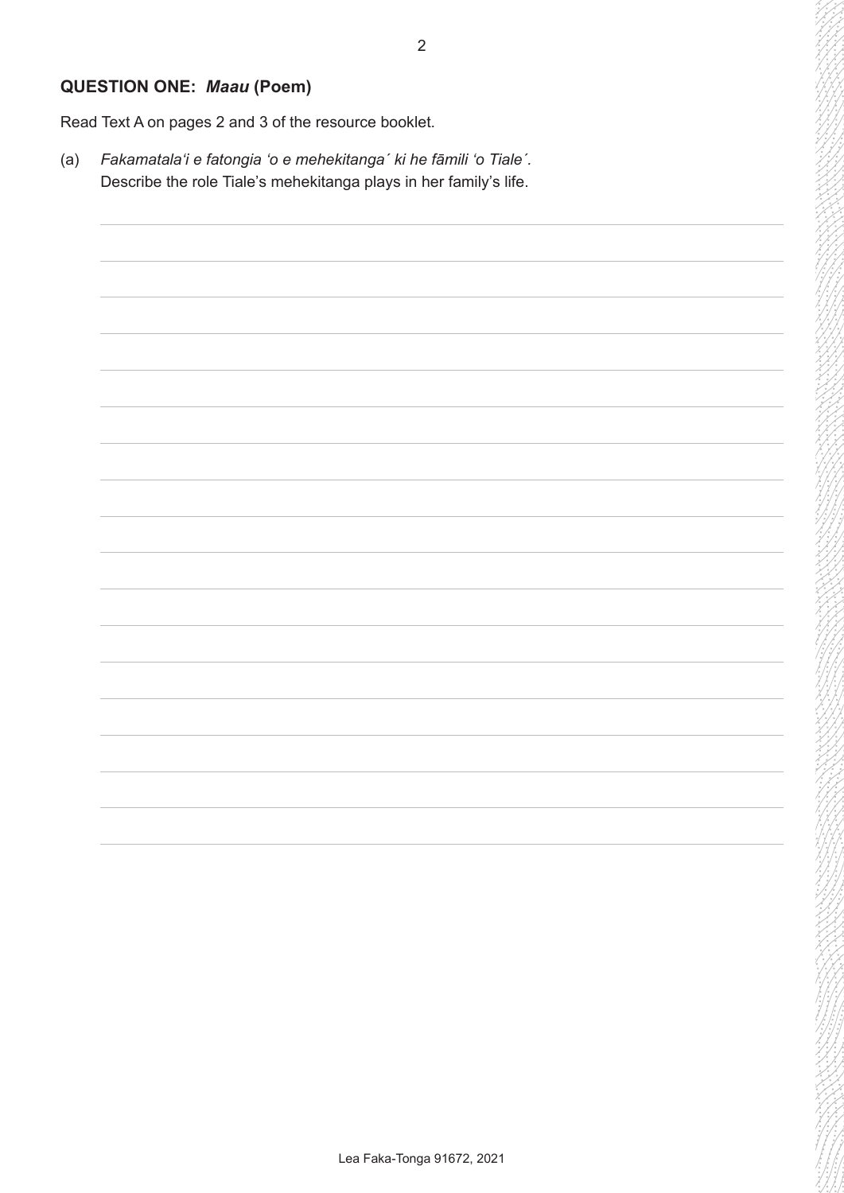# **QUESTION ONE:** *Maau* **(Poem)**

Read Text A on pages 2 and 3 of the resource booklet.

(a) *Fakamatalaʻi e fatongia ʻo e mehekitanga´ ki he fāmili ʻo Tiale´.* Describe the role Tiale's mehekitanga plays in her family's life.

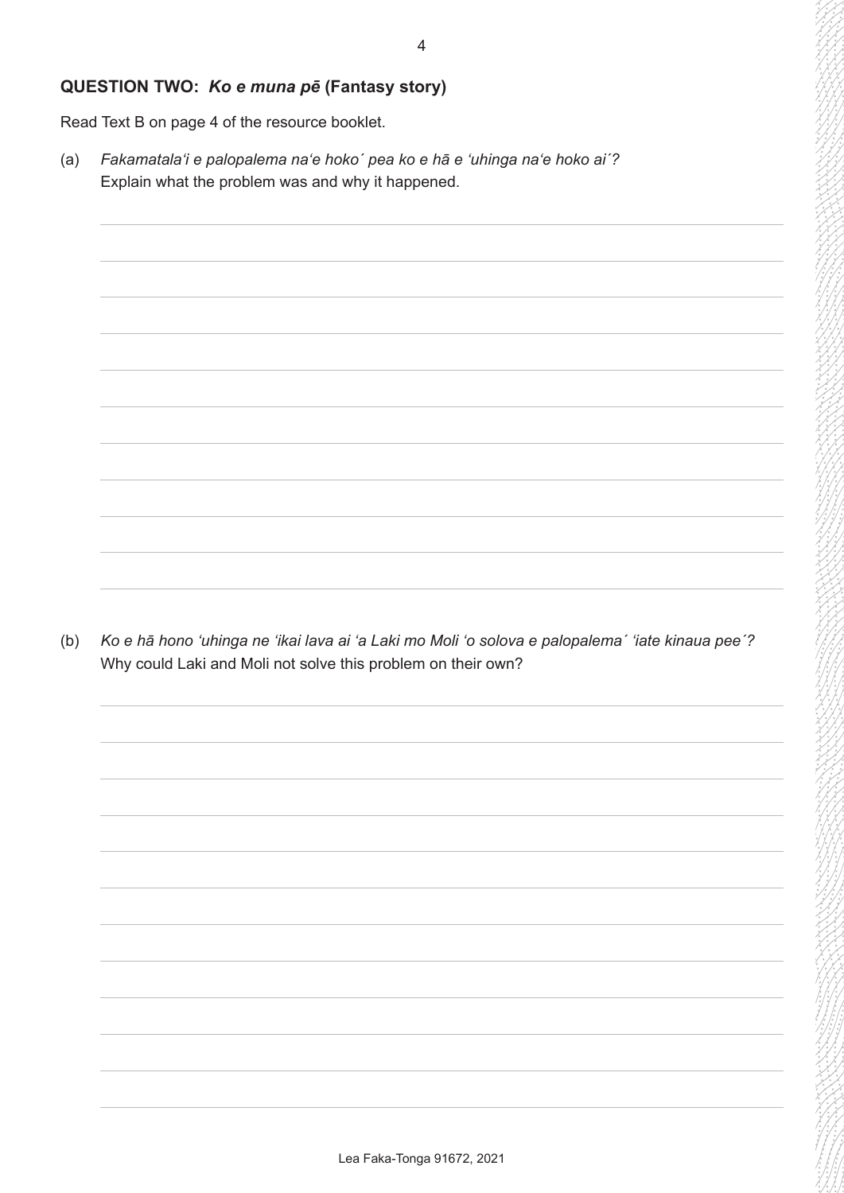### **QUESTION TWO:** *Ko e muna pē* **(Fantasy story)**

Read Text B on page 4 of the resource booklet.

(a) *Fakamatalaʻi e palopalema naʻe hoko´ pea ko e hā e 'uhinga naʻe hoko ai´?* Explain what the problem was and why it happened.

(b) *Ko e hā hono 'uhinga ne 'ikai lava ai 'a Laki mo Moli 'o solova e palopalema´ 'iate kinaua pee´?* Why could Laki and Moli not solve this problem on their own?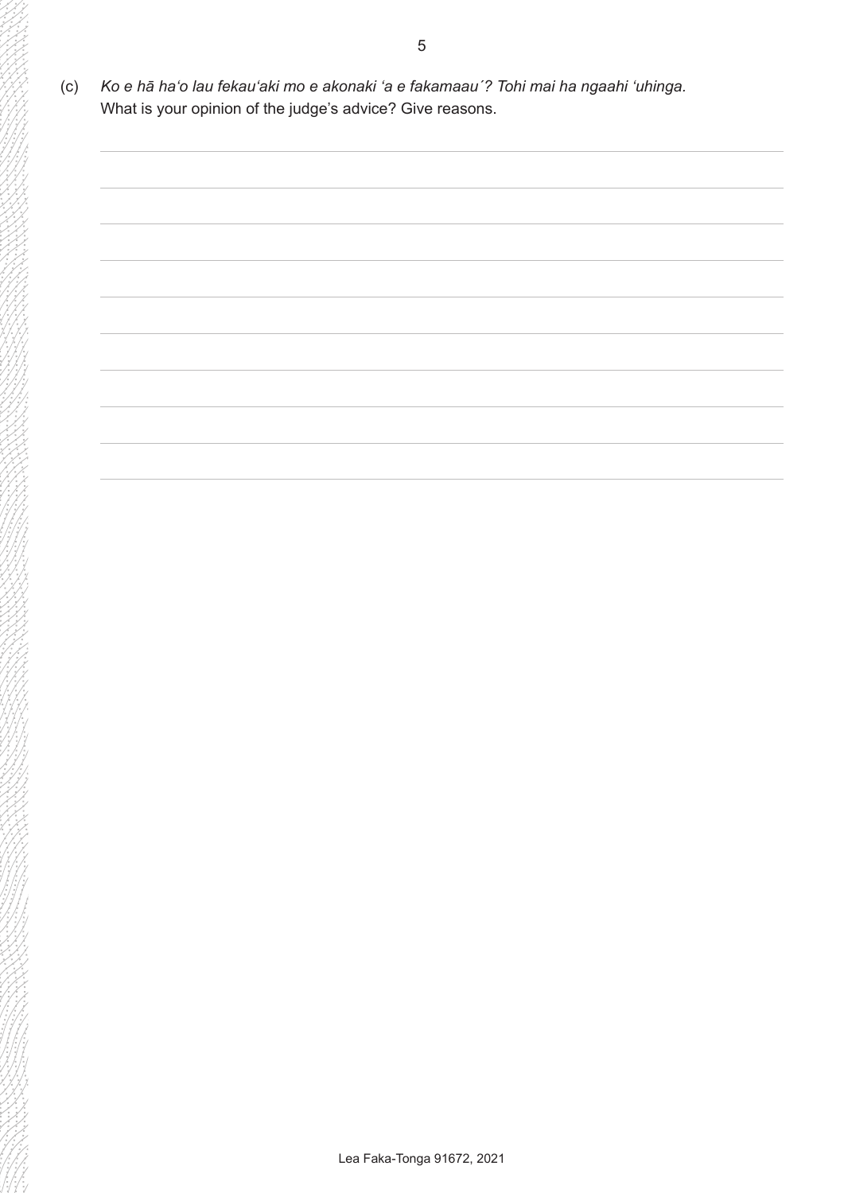(c) *Ko e hā haʻo lau fekauʻaki mo e akonaki 'a e fakamaau´? Tohi mai ha ngaahi 'uhinga.* What is your opinion of the judge's advice? Give reasons.

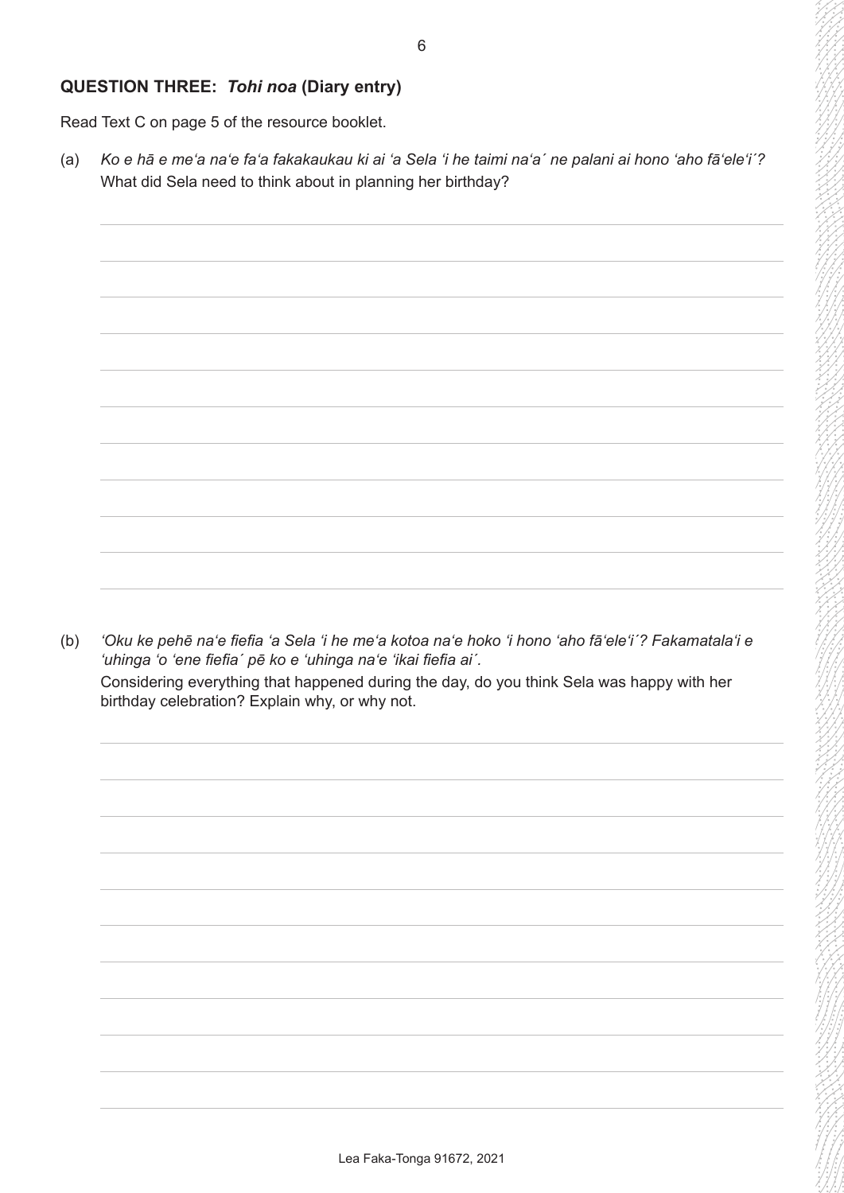## **QUESTION THREE:** *Tohi noa* **(Diary entry)**

Read Text C on page 5 of the resource booklet.

(a) *Ko e hā e meʻa naʻe faʻa fakakaukau ki ai ʻa Sela ʻi he taimi naʻa´ ne palani ai hono ʻaho fāʻeleʻi´?* What did Sela need to think about in planning her birthday?



(b) *ʻOku ke pehē naʻe fiefia ʻa Sela ʻi he meʻa kotoa naʻe hoko ʻi hono ʻaho fāʻeleʻi´? Fakamatalaʻi e ʻuhinga ʻo ʻene fiefia´ pē ko e ʻuhinga naʻe ʻikai fiefia ai´.* Considering everything that happened during the day, do you think Sela was happy with her birthday celebration? Explain why, or why not.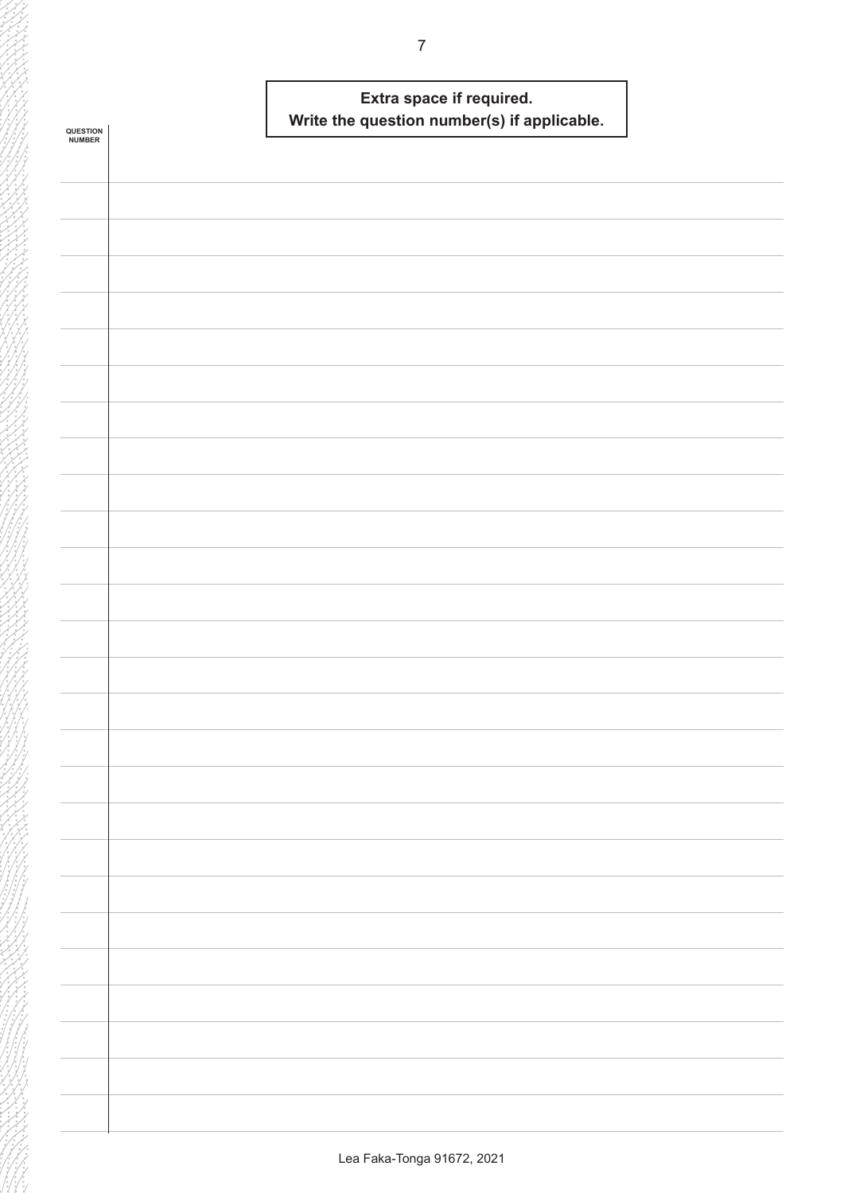|                    | Extra space if required.                    |  |
|--------------------|---------------------------------------------|--|
| QUESTION<br>NUMBER | Write the question number(s) if applicable. |  |
|                    |                                             |  |
|                    |                                             |  |
|                    |                                             |  |
|                    |                                             |  |
|                    |                                             |  |
|                    |                                             |  |
|                    |                                             |  |
|                    |                                             |  |
|                    |                                             |  |
|                    |                                             |  |
|                    |                                             |  |
|                    |                                             |  |
|                    |                                             |  |
|                    |                                             |  |
|                    |                                             |  |
|                    |                                             |  |
|                    |                                             |  |
|                    |                                             |  |
|                    |                                             |  |
|                    |                                             |  |
|                    |                                             |  |
|                    |                                             |  |
|                    |                                             |  |
|                    |                                             |  |
|                    |                                             |  |
|                    |                                             |  |
|                    |                                             |  |
|                    |                                             |  |